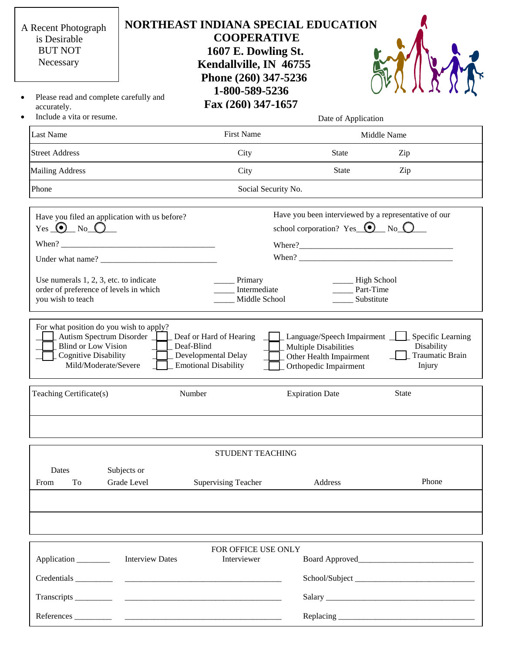| 1-800-589-5236<br>Please read and complete carefully and<br>$\bullet$<br>Fax (260) 347-1657<br>accurately.<br>Include a vita or resume.<br>$\bullet$<br>Date of Application                                                                                                                                                                                                                                                                                                                                                                                                                                                                                                                                                                                                                                           |                                                              |
|-----------------------------------------------------------------------------------------------------------------------------------------------------------------------------------------------------------------------------------------------------------------------------------------------------------------------------------------------------------------------------------------------------------------------------------------------------------------------------------------------------------------------------------------------------------------------------------------------------------------------------------------------------------------------------------------------------------------------------------------------------------------------------------------------------------------------|--------------------------------------------------------------|
|                                                                                                                                                                                                                                                                                                                                                                                                                                                                                                                                                                                                                                                                                                                                                                                                                       |                                                              |
|                                                                                                                                                                                                                                                                                                                                                                                                                                                                                                                                                                                                                                                                                                                                                                                                                       |                                                              |
| <b>First Name</b><br><b>Last Name</b><br>Middle Name                                                                                                                                                                                                                                                                                                                                                                                                                                                                                                                                                                                                                                                                                                                                                                  |                                                              |
| <b>Street Address</b><br>City<br>State<br>Zip                                                                                                                                                                                                                                                                                                                                                                                                                                                                                                                                                                                                                                                                                                                                                                         |                                                              |
| City<br>State<br>Zip<br><b>Mailing Address</b>                                                                                                                                                                                                                                                                                                                                                                                                                                                                                                                                                                                                                                                                                                                                                                        |                                                              |
| Phone<br>Social Security No.                                                                                                                                                                                                                                                                                                                                                                                                                                                                                                                                                                                                                                                                                                                                                                                          |                                                              |
| Have you been interviewed by a representative of our<br>Have you filed an application with us before?<br>school corporation? Yes $\bigcirc$ No $\bigcirc$<br>Use numerals $1, 2, 3$ , etc. to indicate<br>__ High School<br>Primary<br>Intermediate<br>Part-Time<br>order of preference of levels in which<br>you wish to teach<br>Middle School<br>Substitute<br>For what position do you wish to apply?<br>Autism Spectrum Disorder<br>Deaf or Hard of Hearing<br>Language/Speech Impairment _<br><b>Blind or Low Vision</b><br>Deaf-Blind<br><b>Multiple Disabilities</b><br><b>Cognitive Disability</b><br>Developmental Delay<br>Other Health Impairment<br>Mild/Moderate/Severe<br><b>Emotional Disability</b><br>Orthopedic Impairment<br><b>Expiration Date</b><br>State<br>Teaching Certificate(s)<br>Number | Specific Learning<br>Disability<br>Traumatic Brain<br>Injury |
|                                                                                                                                                                                                                                                                                                                                                                                                                                                                                                                                                                                                                                                                                                                                                                                                                       |                                                              |
| <b>STUDENT TEACHING</b>                                                                                                                                                                                                                                                                                                                                                                                                                                                                                                                                                                                                                                                                                                                                                                                               |                                                              |
| Dates<br>Subjects or<br>Grade Level<br>To<br><b>Supervising Teacher</b><br>Address<br>From                                                                                                                                                                                                                                                                                                                                                                                                                                                                                                                                                                                                                                                                                                                            | Phone                                                        |
|                                                                                                                                                                                                                                                                                                                                                                                                                                                                                                                                                                                                                                                                                                                                                                                                                       |                                                              |
|                                                                                                                                                                                                                                                                                                                                                                                                                                                                                                                                                                                                                                                                                                                                                                                                                       |                                                              |
| FOR OFFICE USE ONLY                                                                                                                                                                                                                                                                                                                                                                                                                                                                                                                                                                                                                                                                                                                                                                                                   |                                                              |
| <b>Interview Dates</b><br>Interviewer<br>Application _________                                                                                                                                                                                                                                                                                                                                                                                                                                                                                                                                                                                                                                                                                                                                                        |                                                              |
|                                                                                                                                                                                                                                                                                                                                                                                                                                                                                                                                                                                                                                                                                                                                                                                                                       |                                                              |
|                                                                                                                                                                                                                                                                                                                                                                                                                                                                                                                                                                                                                                                                                                                                                                                                                       |                                                              |
|                                                                                                                                                                                                                                                                                                                                                                                                                                                                                                                                                                                                                                                                                                                                                                                                                       |                                                              |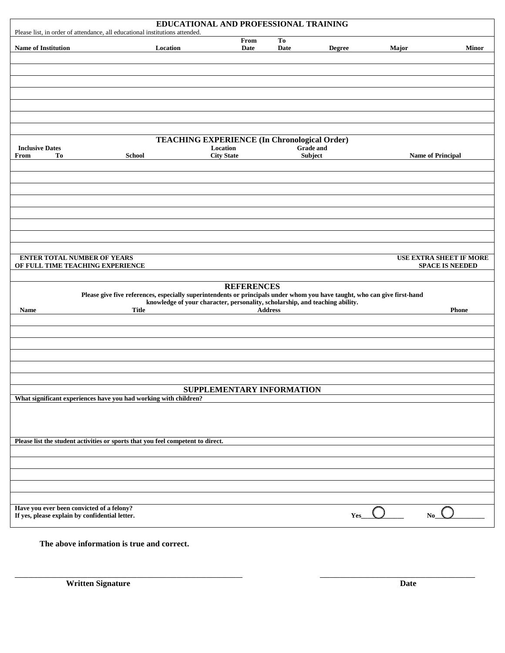| EDUCATIONAL AND PROFESSIONAL TRAINING<br>Please list, in order of attendance, all educational institutions attended. |                                                                                                                           |                                                                              |                        |                  |                |                                                          |  |
|----------------------------------------------------------------------------------------------------------------------|---------------------------------------------------------------------------------------------------------------------------|------------------------------------------------------------------------------|------------------------|------------------|----------------|----------------------------------------------------------|--|
| <b>Name of Institution</b>                                                                                           | Location                                                                                                                  | From<br>Date                                                                 | T <sub>0</sub><br>Date | <b>Degree</b>    | Major          | <b>Minor</b>                                             |  |
|                                                                                                                      |                                                                                                                           |                                                                              |                        |                  |                |                                                          |  |
|                                                                                                                      |                                                                                                                           |                                                                              |                        |                  |                |                                                          |  |
|                                                                                                                      |                                                                                                                           |                                                                              |                        |                  |                |                                                          |  |
| <b>Inclusive Dates</b>                                                                                               |                                                                                                                           | <b>TEACHING EXPERIENCE (In Chronological Order)</b><br>Location              |                        | <b>Grade</b> and |                |                                                          |  |
| <b>To</b><br>From                                                                                                    | <b>School</b>                                                                                                             | <b>City State</b>                                                            |                        | Subject          |                | <b>Name of Principal</b>                                 |  |
|                                                                                                                      |                                                                                                                           |                                                                              |                        |                  |                |                                                          |  |
|                                                                                                                      |                                                                                                                           |                                                                              |                        |                  |                |                                                          |  |
|                                                                                                                      |                                                                                                                           |                                                                              |                        |                  |                |                                                          |  |
|                                                                                                                      |                                                                                                                           |                                                                              |                        |                  |                |                                                          |  |
|                                                                                                                      |                                                                                                                           |                                                                              |                        |                  |                |                                                          |  |
| <b>ENTER TOTAL NUMBER OF YEARS</b><br>OF FULL TIME TEACHING EXPERIENCE                                               |                                                                                                                           |                                                                              |                        |                  |                | <b>USE EXTRA SHEET IF MORE</b><br><b>SPACE IS NEEDED</b> |  |
|                                                                                                                      |                                                                                                                           | <b>REFERENCES</b>                                                            |                        |                  |                |                                                          |  |
|                                                                                                                      | Please give five references, especially superintendents or principals under whom you have taught, who can give first-hand |                                                                              |                        |                  |                |                                                          |  |
| Name                                                                                                                 | <b>Title</b>                                                                                                              | knowledge of your character, personality, scholarship, and teaching ability. | <b>Address</b>         |                  |                | <b>Phone</b>                                             |  |
|                                                                                                                      |                                                                                                                           |                                                                              |                        |                  |                |                                                          |  |
|                                                                                                                      |                                                                                                                           |                                                                              |                        |                  |                |                                                          |  |
|                                                                                                                      |                                                                                                                           |                                                                              |                        |                  |                |                                                          |  |
|                                                                                                                      |                                                                                                                           |                                                                              |                        |                  |                |                                                          |  |
|                                                                                                                      |                                                                                                                           | SUPPLEMENTARY INFORMATION                                                    |                        |                  |                |                                                          |  |
| What significant experiences have you had working with children?                                                     |                                                                                                                           |                                                                              |                        |                  |                |                                                          |  |
|                                                                                                                      |                                                                                                                           |                                                                              |                        |                  |                |                                                          |  |
|                                                                                                                      |                                                                                                                           |                                                                              |                        |                  |                |                                                          |  |
| Please list the student activities or sports that you feel competent to direct.                                      |                                                                                                                           |                                                                              |                        |                  |                |                                                          |  |
|                                                                                                                      |                                                                                                                           |                                                                              |                        |                  |                |                                                          |  |
|                                                                                                                      |                                                                                                                           |                                                                              |                        |                  |                |                                                          |  |
|                                                                                                                      |                                                                                                                           |                                                                              |                        |                  |                |                                                          |  |
| Have you ever been convicted of a felony?<br>If yes, please explain by confidential letter.                          |                                                                                                                           |                                                                              |                        | Yes              | N <sub>o</sub> |                                                          |  |
|                                                                                                                      |                                                                                                                           |                                                                              |                        |                  |                |                                                          |  |
| The above information is true and correct.                                                                           |                                                                                                                           |                                                                              |                        |                  |                |                                                          |  |
|                                                                                                                      |                                                                                                                           |                                                                              |                        |                  |                |                                                          |  |
| <b>Written Signature</b>                                                                                             |                                                                                                                           |                                                                              |                        |                  | <b>Date</b>    |                                                          |  |
|                                                                                                                      |                                                                                                                           |                                                                              |                        |                  |                |                                                          |  |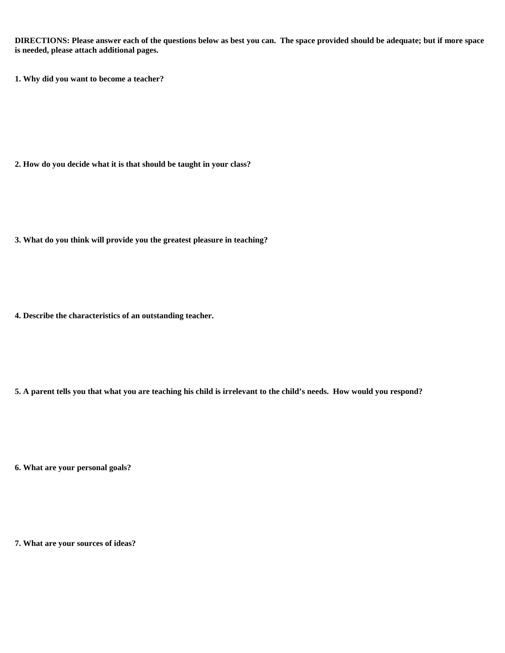**DIRECTIONS: Please answer each of the questions below as best you can. The space provided should be adequate; but if more space is needed, please attach additional pages.**

**1. Why did you want to become a teacher?**

**2. How do you decide what it is that should be taught in your class?**

**3. What do you think will provide you the greatest pleasure in teaching?**

**4. Describe the characteristics of an outstanding teacher.**

**5. A parent tells you that what you are teaching his child is irrelevant to the child's needs. How would you respond?**

**6. What are your personal goals?** 

**7. What are your sources of ideas?**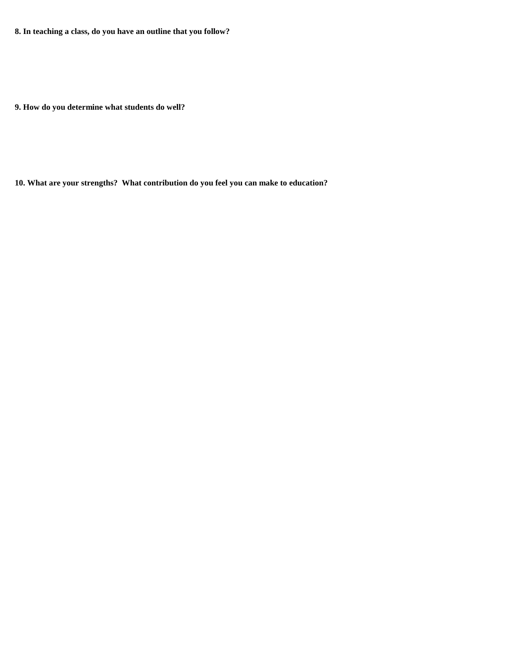**8. In teaching a class, do you have an outline that you follow?** 

**9. How do you determine what students do well?** 

**10. What are your strengths? What contribution do you feel you can make to education?**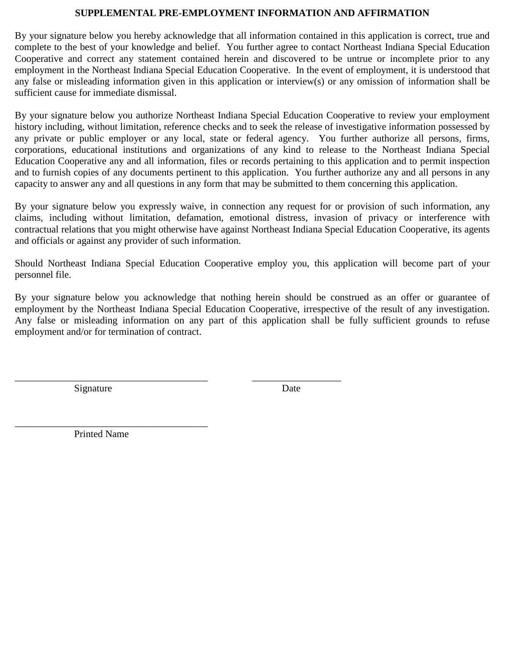### **SUPPLEMENTAL PRE-EMPLOYMENT INFORMATION AND AFFIRMATION**

By your signature below you hereby acknowledge that all information contained in this application is correct, true and complete to the best of your knowledge and belief. You further agree to contact Northeast Indiana Special Education Cooperative and correct any statement contained herein and discovered to be untrue or incomplete prior to any employment in the Northeast Indiana Special Education Cooperative. In the event of employment, it is understood that any false or misleading information given in this application or interview(s) or any omission of information shall be sufficient cause for immediate dismissal.

By your signature below you authorize Northeast Indiana Special Education Cooperative to review your employment history including, without limitation, reference checks and to seek the release of investigative information possessed by any private or public employer or any local, state or federal agency. You further authorize all persons, firms, corporations, educational institutions and organizations of any kind to release to the Northeast Indiana Special Education Cooperative any and all information, files or records pertaining to this application and to permit inspection and to furnish copies of any documents pertinent to this application. You further authorize any and all persons in any capacity to answer any and all questions in any form that may be submitted to them concerning this application.

By your signature below you expressly waive, in connection any request for or provision of such information, any claims, including without limitation, defamation, emotional distress, invasion of privacy or interference with contractual relations that you might otherwise have against Northeast Indiana Special Education Cooperative, its agents and officials or against any provider of such information.

Should Northeast Indiana Special Education Cooperative employ you, this application will become part of your personnel file.

By your signature below you acknowledge that nothing herein should be construed as an offer or guarantee of employment by the Northeast Indiana Special Education Cooperative, irrespective of the result of any investigation. Any false or misleading information on any part of this application shall be fully sufficient grounds to refuse employment and/or for termination of contract.

\_\_\_\_\_\_\_\_\_\_\_\_\_\_\_\_\_\_\_\_\_\_\_\_\_\_\_\_\_\_\_\_\_\_\_\_\_\_\_ \_\_\_\_\_\_\_\_\_\_\_\_\_\_\_\_\_\_

Signature Date

\_\_\_\_\_\_\_\_\_\_\_\_\_\_\_\_\_\_\_\_\_\_\_\_\_\_\_\_\_\_\_\_\_\_\_\_\_\_\_ Printed Name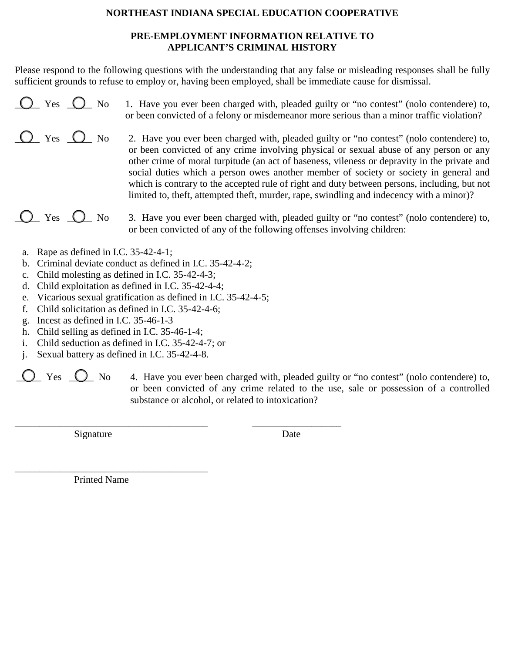## **NORTHEAST INDIANA SPECIAL EDUCATION COOPERATIVE**

## **PRE-EMPLOYMENT INFORMATION RELATIVE TO APPLICANT'S CRIMINAL HISTORY**

Please respond to the following questions with the understanding that any false or misleading responses shall be fully sufficient grounds to refuse to employ or, having been employed, shall be immediate cause for dismissal.

- $\bigcirc$  Yes  $\bigcirc$  No 1. Have you ever been charged with, pleaded guilty or "no contest" (nolo contendere) to, or been convicted of a felony or misdemeanor more serious than a minor traffic violation?
- The Yes  $\bigcirc$  No 2. Have you ever been charged with, pleaded guilty or "no contest" (nolo contendere) to, or been convicted of any crime involving physical or sexual abuse of any person or any other crime of moral turpitude (an act of baseness, vileness or depravity in the private and social duties which a person owes another member of society or society in general and which is contrary to the accepted rule of right and duty between persons, including, but not limited to, theft, attempted theft, murder, rape, swindling and indecency with a minor)?

**Q\_\_\_ Yes**  $\Box$  No 3. Have you ever been charged with, pleaded guilty or "no contest" (nolo contendere) to, or been convicted of any of the following offenses involving children:

- a. Rape as defined in I.C. 35-42-4-1;
- b. Criminal deviate conduct as defined in I.C. 35-42-4-2;
- c. Child molesting as defined in I.C. 35-42-4-3;
- d. Child exploitation as defined in I.C. 35-42-4-4;
- e. Vicarious sexual gratification as defined in I.C. 35-42-4-5;

\_\_\_\_\_\_\_\_\_\_\_\_\_\_\_\_\_\_\_\_\_\_\_\_\_\_\_\_\_\_\_\_\_\_\_\_\_\_\_ \_\_\_\_\_\_\_\_\_\_\_\_\_\_\_\_\_\_

- f. Child solicitation as defined in I.C. 35-42-4-6;
- g. Incest as defined in I.C. 35-46-1-3
- h. Child selling as defined in I.C. 35-46-1-4;
- i. Child seduction as defined in I.C. 35-42-4-7; or
- j. Sexual battery as defined in I.C. 35-42-4-8.
	- $\sum$  Yes  $\sum$  No 4. Have you ever been charged with, pleaded guilty or "no contest" (nolo contendere) to, or been convicted of any crime related to the use, sale or possession of a controlled substance or alcohol, or related to intoxication?

Signature Date

Printed Name

\_\_\_\_\_\_\_\_\_\_\_\_\_\_\_\_\_\_\_\_\_\_\_\_\_\_\_\_\_\_\_\_\_\_\_\_\_\_\_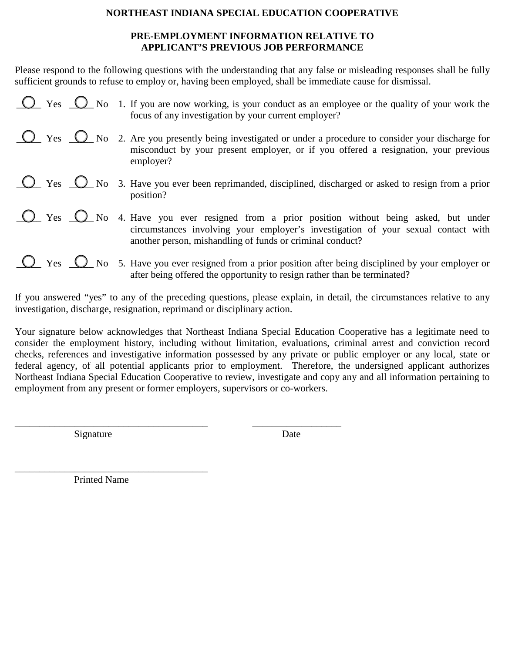### **NORTHEAST INDIANA SPECIAL EDUCATION COOPERATIVE**

## **PRE-EMPLOYMENT INFORMATION RELATIVE TO APPLICANT'S PREVIOUS JOB PERFORMANCE**

Please respond to the following questions with the understanding that any false or misleading responses shall be fully sufficient grounds to refuse to employ or, having been employed, shall be immediate cause for dismissal.

| $\overline{O}$ Yes $\overline{O}$ No 1. If you are now working, is your conduct as an employee or the quality of your work the<br>focus of any investigation by your current employer?                                                                 |
|--------------------------------------------------------------------------------------------------------------------------------------------------------------------------------------------------------------------------------------------------------|
| $\overline{\mathbb{C}}$ Yes $\overline{\mathbb{C}}$ No 2. Are you presently being investigated or under a procedure to consider your discharge for<br>misconduct by your present employer, or if you offered a resignation, your previous<br>employer? |
| $\overline{\mathbb{C}}$ Yes $\overline{\mathbb{C}}$ No 3. Have you ever been reprimanded, disciplined, discharged or asked to resign from a prior<br>position?                                                                                         |
| Some Yes O No 4. Have you ever resigned from a prior position without being asked, but under<br>circumstances involving your employer's investigation of your sexual contact with<br>another person, mishandling of funds or criminal conduct?         |
| $\bigcirc$ Yes $\bigcirc$ No 5. Have you ever resigned from a prior position after being disciplined by your employer or<br>after being offered the opportunity to resign rather than be terminated?                                                   |

If you answered "yes" to any of the preceding questions, please explain, in detail, the circumstances relative to any investigation, discharge, resignation, reprimand or disciplinary action.

Your signature below acknowledges that Northeast Indiana Special Education Cooperative has a legitimate need to consider the employment history, including without limitation, evaluations, criminal arrest and conviction record checks, references and investigative information possessed by any private or public employer or any local, state or federal agency, of all potential applicants prior to employment. Therefore, the undersigned applicant authorizes Northeast Indiana Special Education Cooperative to review, investigate and copy any and all information pertaining to employment from any present or former employers, supervisors or co-workers.

Signature Date

\_\_\_\_\_\_\_\_\_\_\_\_\_\_\_\_\_\_\_\_\_\_\_\_\_\_\_\_\_\_\_\_\_\_\_\_\_\_\_ \_\_\_\_\_\_\_\_\_\_\_\_\_\_\_\_\_\_

Printed Name

\_\_\_\_\_\_\_\_\_\_\_\_\_\_\_\_\_\_\_\_\_\_\_\_\_\_\_\_\_\_\_\_\_\_\_\_\_\_\_